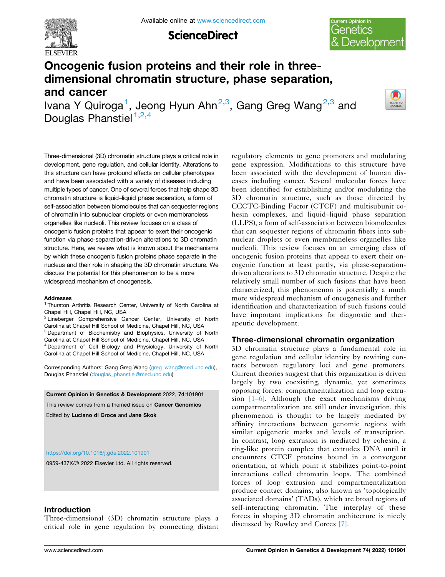

**ScienceDirect** 



# **Oncogenic fusion proteins and their role in threedimensional chromatin structure, phase separation, and cancer**

Ivana Y Quiroga<sup>1</sup>, Jeong Hyun Ahn<sup>2,3</sup>, Gang Greg Wang<sup>2,3</sup> and Douglas Phanstiel<sup>1,2,4</sup>



Three-dimensional (3D) chromatin structure plays a critical role in development, gene regulation, and cellular identity. Alterations to this structure can have profound effects on cellular phenotypes and have been associated with a variety of diseases including multiple types of cancer. One of several forces that help shape 3D chromatin structure is liquid–liquid phase separation, a form of self-association between biomolecules that can sequester regions of chromatin into subnuclear droplets or even membraneless organelles like nucleoli. This review focuses on a class of oncogenic fusion proteins that appear to exert their oncogenic function via phase-separation-driven alterations to 3D chromatin structure. Here, we review what is known about the mechanisms by which these oncogenic fusion proteins phase separate in the nucleus and their role in shaping the 3D chromatin structure. We discuss the potential for this phenomenon to be a more widespread mechanism of oncogenesis.

#### **Addresses**

<sup>1</sup> Thurston Arthritis Research Center, University of North Carolina at Chapel Hill, Chapel Hill, NC, USA<br><sup>2</sup> Lineberger Comprehensive Cancer Center, University of North Carolina at Chapel Hill School of Medicine, Chapel Hill, NC, USA<br><sup>3</sup> Department of Biochemistry and Biophysics, University of North

Carolina at Chapel Hill School of Medicine, Chapel Hill, NC, USA 4 Department of Cell Biology and Physiology, University of North Carolina at Chapel Hill School of Medicine, Chapel Hill, NC, USA

Corresponding Authors: Gang Greg Wang ([greg\\_wang@med.unc.edu\)](mailto:greg_wang@med.unc.edu), Douglas Phanstiel [\(douglas\\_phanstiel@med.unc.edu\)](mailto:douglas_phanstiel@med.unc.edu)

**Current Opinion in Genetics & Development** 2022, **74**:101901 This review comes from a themed issue on **Cancer Genomics**  Edited by **Luciano di Croce** and **Jane Skok** 

#### <https://doi.org/10.1016/j.gde.2022.101901>

0959-437X/© 2022 Elsevier Ltd. All rights reserved.

## **Introduction**

Three-dimensional (3D) chromatin structure plays a critical role in gene regulation by connecting distant regulatory elements to gene promoters and modulating gene expression. Modifications to this structure have been associated with the development of human diseases including cancer. Several molecular forces have been identified for establishing and/or modulating the 3D chromatin structure, such as those directed by CCCTC-Binding Factor (CTCF) and multisubunit cohesin complexes, and liquid–liquid phase separation (LLPS), a form of self-association between biomolecules that can sequester regions of chromatin fibers into subnuclear droplets or even membraneless organelles like nucleoli. This review focuses on an emerging class of oncogenic fusion proteins that appear to exert their oncogenic function at least partly, via phase-separationdriven alterations to 3D chromatin structure. Despite the relatively small number of such fusions that have been characterized, this phenomenon is potentially a much more widespread mechanism of oncogenesis and further identification and characterization of such fusions could have important implications for diagnostic and therapeutic development.

## **Three-dimensional chromatin organization**

3D chromatin structure plays a fundamental role in gene regulation and cellular identity by rewiring contacts between regulatory loci and gene promoters. Current theories suggest that this organization is driven largely by two coexisting, dynamic, yet sometimes opposing forces: compartmentalization and loop extrusion  $[1-6]$ . Although the exact mechanisms driving compartmentalization are still under investigation, this phenomenon is thought to be largely mediated by affinity interactions between genomic regions with similar epigenetic marks and levels of transcription. In contrast, loop extrusion is mediated by cohesin, a ring-like protein complex that extrudes DNA until it encounters CTCF proteins bound in a convergent orientation, at which point it stabilizes point-to-point interactions called chromatin loops. The combined forces of loop extrusion and compartmentalization produce contact domains, also known as 'topologically associated domains' (TADs), which are broad regions of self-interacting chromatin. The interplay of these forces in shaping 3D chromatin architecture is nicely discussed by Rowley and Corces [7].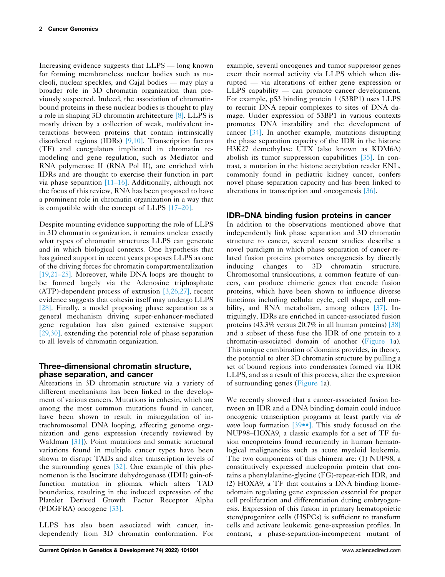Increasing evidence suggests that LLPS — long known for forming membraneless nuclear bodies such as nucleoli, nuclear speckles, and Cajal bodies — may play a broader role in 3D chromatin organization than previously suspected. Indeed, the association of chromatinbound proteins in these nuclear bodies is thought to play a role in shaping 3D chromatin architecture [8]. LLPS is mostly driven by a collection of weak, multivalent interactions between proteins that contain intrinsically disordered regions (IDRs) [9,10]. Transcription factors (TF) and coregulators implicated in chromatin remodeling and gene regulation, such as Mediator and RNA polymerase II (RNA Pol II), are enriched with IDRs and are thought to exercise their function in part via phase separation [11–16]. Additionally, although not the focus of this review, RNA has been proposed to have a prominent role in chromatin organization in a way that is compatible with the concept of LLPS [17–20].

Despite mounting evidence supporting the role of LLPS in 3D chromatin organization, it remains unclear exactly what types of chromatin structures LLPS can generate and in which biological contexts. One hypothesis that has gained support in recent years proposes LLPS as one of the driving forces for chromatin compartmentalization [19,21–25]. Moreover, while DNA loops are thought to be formed largely via the Adenosine triphosphate (ATP)-dependent process of extrusion [3,26,27], recent evidence suggests that cohesin itself may undergo LLPS [28]. Finally, a model proposing phase separation as a general mechanism driving super-enhancer-mediated gene regulation has also gained extensive support [29,30], extending the potential role of phase separation to all levels of chromatin organization.

# **Three-dimensional chromatin structure, phase separation, and cancer**

Alterations in 3D chromatin structure via a variety of different mechanisms has been linked to the development of various cancers. Mutations in cohesin, which are among the most common mutations found in cancer, have been shown to result in misregulation of intrachromosomal DNA looping, affecting genome organization and gene expression (recently reviewed by Waldman [31]). Point mutations and somatic structural variations found in multiple cancer types have been shown to disrupt TADs and alter transcription levels of the surrounding genes [32]. One example of this phenomenon is the Isocitrate dehydrogenase (IDH) gain-offunction mutation in gliomas, which alters TAD boundaries, resulting in the induced expression of the Platelet Derived Growth Factor Receptor Alpha (PDGFRA) oncogene [33].

LLPS has also been associated with cancer, independently from 3D chromatin conformation. For example, several oncogenes and tumor suppressor genes exert their normal activity via LLPS which when disrupted — via alterations of either gene expression or LLPS capability — can promote cancer development. For example, p53 binding protein 1 (53BP1) uses LLPS to recruit DNA repair complexes to sites of DNA damage. Under expression of 53BP1 in various contexts promotes DNA instability and the development of cancer [34]. In another example, mutations disrupting the phase separation capacity of the IDR in the histone H3K27 demethylase UTX (also known as KDM6A) abolish its tumor suppression capabilities [35]. In contrast, a mutation in the histone acetylation reader ENL, commonly found in pediatric kidney cancer, confers novel phase separation capacity and has been linked to alterations in transcription and oncogenesis [36].

# **IDR–DNA binding fusion proteins in cancer**

In addition to the observations mentioned above that independently link phase separation and 3D chromatin structure to cancer, several recent studies describe a novel paradigm in which phase separation of cancer-related fusion proteins promotes oncogenesis by directly inducing changes to 3D chromatin structure. Chromosomal translocations, a common feature of cancers, can produce chimeric genes that encode fusion proteins, which have been shown to influence diverse functions including cellular cycle, cell shape, cell mobility, and RNA metabolism, among others [37]. Intriguingly, IDRs are enriched in cancer-associated fusion proteins (43.3% versus 20.7% in all human proteins) [38] and a subset of these fuse the IDR of one protein to a chromatin-associated domain of another (Figure 1a). This unique combination of domains provides, in theory, the potential to alter 3D chromatin structure by pulling a set of bound regions into condensates formed via IDR LLPS, and as a result of this process, alter the expression of surrounding genes (Figure 1a).

We recently showed that a cancer-associated fusion between an IDR and a DNA binding domain could induce oncogenic transcription programs at least partly via *de novo* loop formation [39••]. This study focused on the NUP98–HOXA9, a classic example for a set of TF fusion oncoproteins found recurrently in human hematological malignancies such as acute myeloid leukemia. The two components of this chimera are: (1) NUP98, a constitutively expressed nucleoporin protein that contains a phenylalanine-glycine (FG)-repeat-rich IDR, and (2) HOXA9, a TF that contains a DNA binding homeodomain regulating gene expression essential for proper cell proliferation and differentiation during embryogenesis. Expression of this fusion in primary hematopoietic stem/progenitor cells (HSPCs) is sufficient to transform cells and activate leukemic gene-expression profiles. In contrast, a phase-separation-incompetent mutant of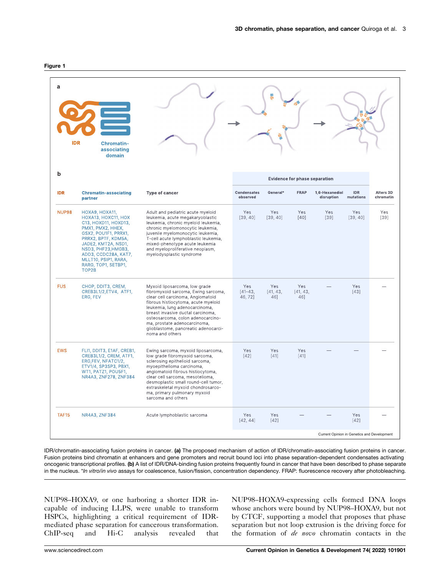| I |  |
|---|--|
|---|--|

| a<br><b>IDR</b> | <b>Chromatin-</b><br>associating<br>domain                                                                                                                                                                                                                      |                                                                                                                                                                                                                                                                                                                                                         |                                |                                      |                        |                                             |                         |                        |
|-----------------|-----------------------------------------------------------------------------------------------------------------------------------------------------------------------------------------------------------------------------------------------------------------|---------------------------------------------------------------------------------------------------------------------------------------------------------------------------------------------------------------------------------------------------------------------------------------------------------------------------------------------------------|--------------------------------|--------------------------------------|------------------------|---------------------------------------------|-------------------------|------------------------|
| b               |                                                                                                                                                                                                                                                                 |                                                                                                                                                                                                                                                                                                                                                         |                                | <b>Evidence for phase separation</b> |                        |                                             |                         |                        |
| <b>IDR</b>      | <b>Chromatin-associating</b><br>partner                                                                                                                                                                                                                         | Type of cancer                                                                                                                                                                                                                                                                                                                                          | <b>Condensates</b><br>observed | General*                             | <b>FRAP</b>            | 1,6-Hexanediol<br>disruption                | <b>IDR</b><br>mutations | Alters 3D<br>chromatin |
| NUP98           | HOXA9, HOXA11,<br>HOXA13, HOXC11, HOX<br>C13, HOXD11, HOXD13,<br>PMX1, PMX2, HHEX,<br>GSX2, POU1F1, PRRX1,<br>PRRX2, BPTF, KDM5A,<br>JADE2, KMT2A, NSD1,<br>NSD3, PHF23, HMGB3,<br>ADD3, CCDC28A, KAT7,<br>MLLT10, PSIP1, RARA,<br>RARG, TOP1, SETBP1,<br>TOP2B | Adult and pediatric acute myeloid<br>leukemia, acute megakaryoblastic<br>leukemia, chronic myeloid leukemia,<br>chronic myelomonocytic leukemia,<br>juvenile myelomonocytic leukemia,<br>T-cell acute lymphoblastic leukemia,<br>mixed-phenotype acute leukemia<br>and myeloproliferative neoplasm,<br>myelodysplastic syndrome                         | Yes<br>[39, 40]                | Yes<br>[39, 40]                      | Yes<br>[40]            | Yes<br>[39]                                 | Yes<br>[39, 40]         | Yes<br>[39]            |
| <b>FUS</b>      | CHOP, DDIT3, CREM,<br>CREB3L1/2,ETV4, ATF1,<br>ERG, FEV                                                                                                                                                                                                         | Myxoid liposarcoma, low grade<br>fibromyxoid sarcoma, Ewing sarcoma,<br>clear cell carcinoma, Angiomatoid<br>fibrous histiocytoma, acute myeloid<br>leukemia, lung adenocarcinoma,<br>breast invasive ductal carcinoma,<br>osteosarcoma, colon adenocarcino-<br>ma, prostate adenocarcinoma,<br>glioblastome, pancreatic adenocarci-<br>noma and others | Yes<br>$[41 - 43]$<br>46,72]   | Yes<br>[41, 43,<br>46]               | Yes<br>[41, 43,<br>46] |                                             | Yes<br>$[43]$           |                        |
| <b>EWS</b>      | FLI1, DDIT3, E1AF, CREB1,<br>CREB3L1/2, CREM, ATF1,<br>ERG,FEV, NFATC1/2,<br>ETV1/4, SP3SP3, PBX1,<br>WT1, PATZ1, POU5F1,<br>NR4A3, ZNF278, ZNF384                                                                                                              | Ewing sarcoma, myxoid liposarcoma,<br>low grade fibromyxoid sarcoma,<br>sclerosing epithelioid sarcoma,<br>myoepithelioma carcinoma,<br>angiomatoid fibrous histiocytoma,<br>clear cell sarcoma, mesotelioma,<br>desmoplastic small round-cell tumor,<br>extraskeletal myxoid chondrosarco-<br>ma, primary pulmonary myxoid<br>sarcoma and others       | Yes<br>[42]                    | Yes<br>$[41]$                        | Yes<br>$[41]$          |                                             |                         |                        |
| TAF15           | NR4A3, ZNF384                                                                                                                                                                                                                                                   | Acute lymphoblastic sarcoma                                                                                                                                                                                                                                                                                                                             | Yes<br>[42, 44]                | Yes<br>$[42]$                        |                        |                                             | Yes<br>$[42]$           |                        |
|                 |                                                                                                                                                                                                                                                                 |                                                                                                                                                                                                                                                                                                                                                         |                                |                                      |                        | Current Opinion in Genetics and Development |                         |                        |

IDR/chromatin-associating fusion proteins in cancer. **(a)** The proposed mechanism of action of IDR/chromatin-associating fusion proteins in cancer. Fusion proteins bind chromatin at enhancers and gene promoters and recruit bound loci into phase separation-dependent condensates activating oncogenic transcriptional profiles. **(b)** A list of IDR/DNA-binding fusion proteins frequently found in cancer that have been described to phase separate in the nucleus. \**In vitro*/*in vivo* assays for coalescence, fusion/fission, concentration dependency. FRAP: fluorescence recovery after photobleaching.

NUP98–HOXA9, or one harboring a shorter IDR incapable of inducing LLPS, were unable to transform HSPCs, highlighting a critical requirement of IDRmediated phase separation for cancerous transformation. ChIP-seq and Hi-C analysis revealed that

NUP98–HOXA9-expressing cells formed DNA loops whose anchors were bound by NUP98–HOXA9, but not by CTCF, supporting a model that proposes that phase separation but not loop extrusion is the driving force for the formation of *de novo* chromatin contacts in the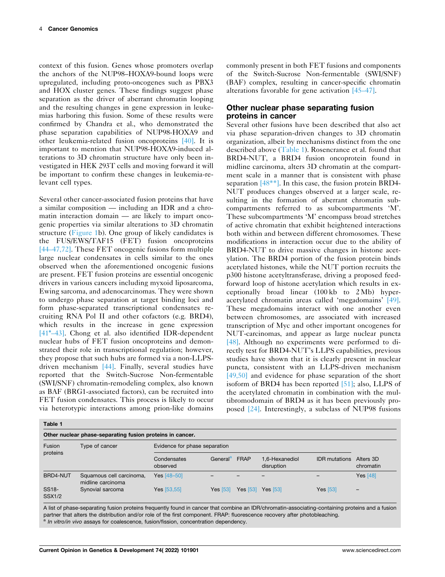context of this fusion. Genes whose promoters overlap the anchors of the NUP98–HOXA9-bound loops were upregulated, including proto-oncogenes such as PBX3 and HOX cluster genes. These findings suggest phase separation as the driver of aberrant chromatin looping and the resulting changes in gene expression in leukemias harboring this fusion. Some of these results were confirmed by Chandra et al., who demonstrated the phase separation capabilities of NUP98-HOXA9 and other leukemia-related fusion oncoproteins [40]. It is important to mention that NUP98-HOXA9-induced alterations to 3D chromatin structure have only been investigated in HEK 293T cells and moving forward it will be important to confirm these changes in leukemia-relevant cell types.

Several other cancer-associated fusion proteins that have a similar composition — including an IDR and a chromatin interaction domain — are likely to impart oncogenic properties via similar alterations to 3D chromatin structure (Figure 1b). One group of likely candidates is the FUS/EWS/TAF15 (FET) fusion oncoproteins [44–47,72]. These FET oncogenic fusions form multiple large nuclear condensates in cells similar to the ones observed when the aforementioned oncogenic fusions are present. FET fusion proteins are essential oncogenic drivers in various cancers including myxoid liposarcoma, Ewing sarcoma, and adenocarcinomas. They were shown to undergo phase separation at target binding loci and form phase-separated transcriptional condensates recruiting RNA Pol II and other cofactors (e.g. BRD4), which results in the increase in gene expression [41**\***–43]. Chong et al. also identified IDR-dependent nuclear hubs of FET fusion oncoproteins and demonstrated their role in transcriptional regulation; however, they propose that such hubs are formed via a non-LLPSdriven mechanism [44]. Finally, several studies have reported that the Switch-Sucrose Non-fermentable (SWI/SNF) chromatin-remodeling complex, also known as BAF (BRG1-associated factors), can be recruited into FET fusion condensates. This process is likely to occur via heterotypic interactions among prion-like domains

commonly present in both FET fusions and components of the Switch-Sucrose Non-fermentable (SWI/SNF) (BAF) complex, resulting in cancer-specific chromatin alterations favorable for gene activation [45–47].

## **Other nuclear phase separating fusion proteins in cancer**

Several other fusions have been described that also act via phase separation-driven changes to 3D chromatin organization, albeit by mechanisms distinct from the one described above (Table 1). Rosencrance et al. found that BRD4-NUT, a BRD4 fusion oncoprotein found in midline carcinoma, alters 3D chromatin at the compartment scale in a manner that is consistent with phase separation [48\*\*]. In this case, the fusion protein BRD4-NUT produces changes observed at a larger scale, resulting in the formation of aberrant chromatin subcompartments referred to as subcompartments 'M'. These subcompartments 'M' encompass broad stretches of active chromatin that exhibit heightened interactions both within and between different chromosomes. These modifications in interaction occur due to the ability of BRD4-NUT to drive massive changes in histone acetylation. The BRD4 portion of the fusion protein binds acetylated histones, while the NUT portion recruits the p300 histone acetyltransferase, driving a proposed feedforward loop of histone acetylation which results in exceptionally broad linear (100 kb to 2 Mb) hyperacetylated chromatin areas called 'megadomains' [49]. These megadomains interact with one another even between chromosomes, are associated with increased transcription of Myc and other important oncogenes for NUT-carcinomas, and appear as large nuclear puncta [48]. Although no experiments were performed to directly test for BRD4-NUT's LLPS capabilities, previous studies have shown that it is clearly present in nuclear puncta, consistent with an LLPS-driven mechanism [49,50] and evidence for phase separation of the short isoform of BRD4 has been reported [51]; also, LLPS of the acetylated chromatin in combination with the multibromodomain of BRD4 as it has been previously proposed [24]. Interestingly, a subclass of NUP98 fusions

| Other nuclear phase-separating fusion proteins in cancer. |                                               |                               |                      |             |                              |                      |                        |
|-----------------------------------------------------------|-----------------------------------------------|-------------------------------|----------------------|-------------|------------------------------|----------------------|------------------------|
| Fusion<br>proteins                                        | Type of cancer                                | Evidence for phase separation |                      |             |                              |                      |                        |
|                                                           |                                               | Condensates<br>observed       | General <sup>a</sup> | <b>FRAP</b> | 1.6-Hexanediol<br>disruption | <b>IDR</b> mutations | Alters 3D<br>chromatin |
| BRD4-NUT                                                  | Squamous cell carcinoma,<br>midline carcinoma | Yes [48-50]                   |                      |             |                              |                      | Yes $[48]$             |
| SS <sub>18</sub> -<br><b>SSX1/2</b>                       | Synovial sarcoma                              | Yes [53,55]                   | Yes $[53]$           |             | Yes [53] Yes [53]            | <b>Yes</b> [53]      | -                      |

A list of phase-separating fusion proteins frequently found in cancer that combine an IDR/chromatin-associating-containing proteins and a fusion partner that alters the distribution and/or role of the first component. FRAP: fluorescence recovery after photobleaching.<br><sup>a</sup> *In vitro/in vivo* assays for coalescence, fusion/fission, concentration dependency.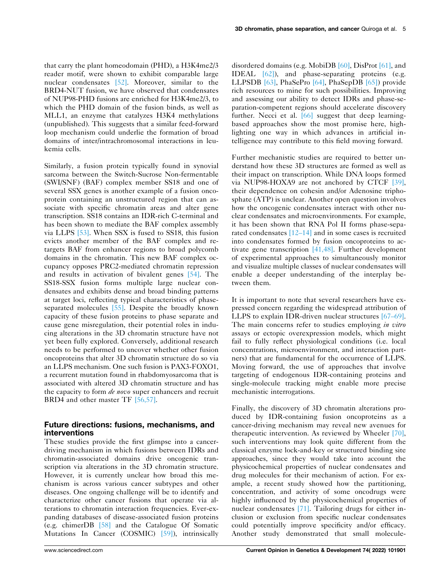that carry the plant homeodomain (PHD), a H3K4me2/3 reader motif, were shown to exhibit comparable large nuclear condensates [52]. Moreover, similar to the BRD4-NUT fusion, we have observed that condensates of NUP98-PHD fusions are enriched for H3K4me2/3, to which the PHD domain of the fusion binds, as well as MLL1, an enzyme that catalyzes H3K4 methylations (unpublished). This suggests that a similar feed-forward loop mechanism could underlie the formation of broad domains of inter/intrachromosomal interactions in leukemia cells.

Similarly, a fusion protein typically found in synovial sarcoma between the Switch-Sucrose Non-fermentable (SWI/SNF) (BAF) complex member SS18 and one of several SSX genes is another example of a fusion oncoprotein containing an unstructured region that can associate with specific chromatin areas and alter gene transcription. SS18 contains an IDR-rich C-terminal and has been shown to mediate the BAF complex assembly via LLPS [53]. When SSX is fused to SS18, this fusion evicts another member of the BAF complex and retargets BAF from enhancer regions to broad polycomb domains in the chromatin. This new BAF complex occupancy opposes PRC2-mediated chromatin repression and results in activation of bivalent genes [54]. The SS18-SSX fusion forms multiple large nuclear condensates and exhibits dense and broad binding patterns at target loci, reflecting typical characteristics of phaseseparated molecules [55]. Despite the broadly known capacity of these fusion proteins to phase separate and cause gene misregulation, their potential roles in inducing alterations in the 3D chromatin structure have not yet been fully explored. Conversely, additional research needs to be performed to uncover whether other fusion oncoproteins that alter 3D chromatin structure do so via an LLPS mechanism. One such fusion is PAX3-FOXO1, a recurrent mutation found in rhabdomyosarcoma that is associated with altered 3D chromatin structure and has the capacity to form *de novo* super enhancers and recruit BRD4 and other master TF [56,57].

# **Future directions: fusions, mechanisms, and interventions**

These studies provide the first glimpse into a cancerdriving mechanism in which fusions between IDRs and chromatin-associated domains drive oncogenic transcription via alterations in the 3D chromatin structure. However, it is currently unclear how broad this mechanism is across various cancer subtypes and other diseases. One ongoing challenge will be to identify and characterize other cancer fusions that operate via alterations to chromatin interaction frequencies. Ever-expanding databases of disease-associated fusion proteins (e.g. chimerDB [58] and the Catalogue Of Somatic Mutations In Cancer (COSMIC) [59]), intrinsically disordered domains (e.g. MobiDB [60], DisProt [61], and IDEAL [62]), and phase-separating proteins (e.g. LLPSDB [63], PhaSePro [64], PhaSepDB [65]) provide rich resources to mine for such possibilities. Improving and assessing our ability to detect IDRs and phase-separation-competent regions should accelerate discovery further. Necci et al. [66] suggest that deep learningbased approaches show the most promise here, highlighting one way in which advances in artificial intelligence may contribute to this field moving forward.

Further mechanistic studies are required to better understand how these 3D structures are formed as well as their impact on transcription. While DNA loops formed via NUP98-HOXA9 are not anchored by CTCF [39], their dependence on cohesin and/or Adenosine triphosphate (ATP) is unclear. Another open question involves how the oncogenic condensates interact with other nuclear condensates and microenvironments. For example, it has been shown that RNA Pol II forms phase-separated condensates [12–14] and in some cases is recruited into condensates formed by fusion oncoproteins to activate gene transcription [41,48]. Further development of experimental approaches to simultaneously monitor and visualize multiple classes of nuclear condensates will enable a deeper understanding of the interplay between them.

It is important to note that several researchers have expressed concern regarding the widespread attribution of LLPS to explain IDR-driven nuclear structures [67–69]. The main concerns refer to studies employing *in vitro*  assays or ectopic overexpression models, which might fail to fully reflect physiological conditions (i.e. local concentrations, microenvironment, and interaction partners) that are fundamental for the occurrence of LLPS. Moving forward, the use of approaches that involve targeting of endogenous IDR-containing proteins and single-molecule tracking might enable more precise mechanistic interrogations.

Finally, the discovery of 3D chromatin alterations produced by IDR-containing fusion oncoproteins as a cancer-driving mechanism may reveal new avenues for therapeutic intervention. As reviewed by Wheeler [70], such interventions may look quite different from the classical enzyme lock-and-key or structured binding site approaches, since they would take into account the physicochemical properties of nuclear condensates and drug molecules for their mechanism of action. For example, a recent study showed how the partitioning, concentration, and activity of some oncodrugs were highly influenced by the physicochemical properties of nuclear condensates [71]. Tailoring drugs for either inclusion or exclusion from specific nuclear condensates could potentially improve specificity and/or efficacy. Another study demonstrated that small molecule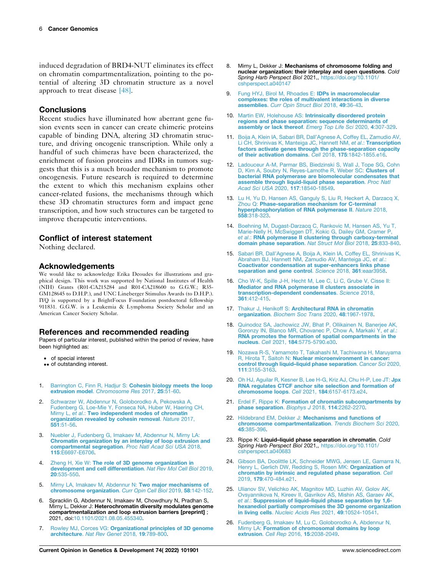induced degradation of BRD4-NUT eliminates its effect on chromatin compartmentalization, pointing to the potential of altering 3D chromatin structure as a novel approach to treat disease [48].

## **Conclusions**

Recent studies have illuminated how aberrant gene fusion events seen in cancer can create chimeric proteins capable of binding DNA, altering 3D chromatin structure, and driving oncogenic transcription. While only a handful of such chimeras have been characterized, the enrichment of fusion proteins and IDRs in tumors suggests that this is a much broader mechanism to promote oncogenesis. Future research is required to determine the extent to which this mechanism explains other cancer-related fusions, the mechanisms through which these 3D chromatin structures form and impact gene transcription, and how such structures can be targeted to improve therapeutic interventions.

## **Conflict of interest statement**

Nothing declared.

#### **Acknowledgements**

We would like to acknowledge Erika Deoudes for illustrations and graphical design. This work was supported by National Institutes of Health (NIH) Grants (R01-CA215284 and R01-CA218600 to G.G.W.; R35- GM128645 to D.H.P.), and UNC Lineberger Stimulus Awards (to D.H.P.). IYQ is supported by a BrightFocus Foundation postdoctoral fellowship 911831. G.G.W. is a Leukemia & Lymphoma Society Scholar and an American Cancer Society Scholar.

#### **References and recommended reading**

Papers of particular interest, published within the period of review, have been highlighted as:

- of special interest
- •• of outstanding interest.
- 1. Barrington C, Finn R, Hadjur S: **[Cohesin biology meets the loop](http://refhub.elsevier.com/S0959-437X(22)00010-7/sbref1)  extrusion model**. *[Chromosome Res](http://refhub.elsevier.com/S0959-437X(22)00010-7/sbref1)* 2017, **25**:51-60.
- 2. [Schwarzer W, Abdennur N, Goloborodko A, Pekowska A,](http://refhub.elsevier.com/S0959-437X(22)00010-7/sbref2) [Fudenberg G, Loe-Mie Y, Fonseca NA, Huber W, Haering CH,](http://refhub.elsevier.com/S0959-437X(22)00010-7/sbref2)  Mirny L, *et al*.: **[Two independent modes of chromatin](http://refhub.elsevier.com/S0959-437X(22)00010-7/sbref2) [organization revealed by cohesin removal](http://refhub.elsevier.com/S0959-437X(22)00010-7/sbref2)**. *Nature* 2017, **551**[:51-56.](http://refhub.elsevier.com/S0959-437X(22)00010-7/sbref2)
- 3. [Nuebler J, Fudenberg G, Imakaev M, Abdennur N, Mirny LA:](http://refhub.elsevier.com/S0959-437X(22)00010-7/sbref3) **[Chromatin organization by an interplay of loop extrusion and](http://refhub.elsevier.com/S0959-437X(22)00010-7/sbref3) [compartmental segregation](http://refhub.elsevier.com/S0959-437X(22)00010-7/sbref3)**. *Proc Natl Acad Sci USA* 2018, **115**[:E6697-E6706.](http://refhub.elsevier.com/S0959-437X(22)00010-7/sbref3)
- 4. Zheng H, Xie W: **[The role of 3D genome organization in](http://refhub.elsevier.com/S0959-437X(22)00010-7/sbref4)  [development and cell differentiation](http://refhub.elsevier.com/S0959-437X(22)00010-7/sbref4)**. *Nat Rev Mol Cell Biol* 2019, **20**[:535-550.](http://refhub.elsevier.com/S0959-437X(22)00010-7/sbref4)
- 5. [Mirny LA, Imakaev M, Abdennur N:](http://refhub.elsevier.com/S0959-437X(22)00010-7/sbref5) **Two major mechanisms of [chromosome organization](http://refhub.elsevier.com/S0959-437X(22)00010-7/sbref5)**. *Curr Opin Cell Biol* 2019, **58**:142-152.
- 6. Spracklin G, Abdennur N, Imakaev M, Chowdhury N, Pradhan S, Mirny L, Dekker J: **Heterochromatin diversity modulates genome compartmentalization and loop extrusion barriers [preprint]** ; 2021, doi:[10.1101/2021.08.05.455340.](https://doi.org/10.1101/2021.08.05.455340)
- 7. Rowley MJ, Corces VG: **[Organizational principles of 3D genome](http://refhub.elsevier.com/S0959-437X(22)00010-7/sbref6)  architecture**. *[Nat Rev Genet](http://refhub.elsevier.com/S0959-437X(22)00010-7/sbref6)* 2018, **19**:789-800.
- 8. Mirny L, Dekker J: **Mechanisms of chromosome folding and nuclear organization: their interplay and open questions**. *Cold Spring Harb Perspect Biol* 2021,, [https://doi.org/10.1101/](https://doi.org/10.1101/cshperspect.a040147)  [cshperspect.a040147](https://doi.org/10.1101/cshperspect.a040147)
- 9. [Fung HYJ, Birol M, Rhoades E:](http://refhub.elsevier.com/S0959-437X(22)00010-7/sbref8) **IDPs in macromolecular [complexes: the roles of multivalent interactions in diverse](http://refhub.elsevier.com/S0959-437X(22)00010-7/sbref8) assemblies**. *[Curr Opin Struct Biol](http://refhub.elsevier.com/S0959-437X(22)00010-7/sbref8)* 2018, **49**:36-43.
- 10. Martin EW, Holehouse AS: **[Intrinsically disordered protein](http://refhub.elsevier.com/S0959-437X(22)00010-7/sbref9) [regions and phase separation: sequence determinants of](http://refhub.elsevier.com/S0959-437X(22)00010-7/sbref9)  [assembly or lack thereof](http://refhub.elsevier.com/S0959-437X(22)00010-7/sbref9)**. *Emerg Top Life Sci* 2020, **4**:307-329.
- 11. [Boija A, Klein IA, Sabari BR, Dall'Agnese A, Coffey EL, Zamudio AV,](http://refhub.elsevier.com/S0959-437X(22)00010-7/sbref10)  [Li CH, Shrinivas K, Manteiga JC, Hannett NM,](http://refhub.elsevier.com/S0959-437X(22)00010-7/sbref10) *et al*.: **Transcription [factors activate genes through the phase-separation capacity](http://refhub.elsevier.com/S0959-437X(22)00010-7/sbref10)  [of their activation domains](http://refhub.elsevier.com/S0959-437X(22)00010-7/sbref10)**. *Cell* 2018, **175**:1842-1855.e16.
- 12. [Ladouceur A-M, Parmar BS, Biedzinski S, Wall J, Tope SG, Cohn](http://refhub.elsevier.com/S0959-437X(22)00010-7/sbref11) [D, Kim A, Soubry N, Reyes-Lamothe R, Weber SC:](http://refhub.elsevier.com/S0959-437X(22)00010-7/sbref11) **Clusters of [bacterial RNA polymerase are biomolecular condensates that](http://refhub.elsevier.com/S0959-437X(22)00010-7/sbref11)  [assemble through liquid-liquid phase separation](http://refhub.elsevier.com/S0959-437X(22)00010-7/sbref11)**. *Proc Natl [Acad Sci USA](http://refhub.elsevier.com/S0959-437X(22)00010-7/sbref11)* 2020, **117**:18540-18549.
- 13. [Lu H, Yu D, Hansen AS, Ganguly S, Liu R, Heckert A, Darzacq X,](http://refhub.elsevier.com/S0959-437X(22)00010-7/sbref12)  Zhou Q: **[Phase-separation mechanism for C-terminal](http://refhub.elsevier.com/S0959-437X(22)00010-7/sbref12)  [hyperphosphorylation of RNA polymerase II](http://refhub.elsevier.com/S0959-437X(22)00010-7/sbref12)**. *Nature* 2018, **558**[:318-323.](http://refhub.elsevier.com/S0959-437X(22)00010-7/sbref12)
- 14. [Boehning M, Dugast-Darzacq C, Rankovic M, Hansen AS, Yu T,](http://refhub.elsevier.com/S0959-437X(22)00010-7/sbref13) [Marie-Nelly H, McSwiggen DT, Kokic G, Dailey GM, Cramer P,](http://refhub.elsevier.com/S0959-437X(22)00010-7/sbref13) *et al*.: **[RNA polymerase II clustering through carboxy-terminal](http://refhub.elsevier.com/S0959-437X(22)00010-7/sbref13) [domain phase separation](http://refhub.elsevier.com/S0959-437X(22)00010-7/sbref13)**. *Nat Struct Mol Biol* 2018, **25**:833-840.
- 15. [Sabari BR, Dall'Agnese A, Boija A, Klein IA, Coffey EL, Shrinivas K,](http://refhub.elsevier.com/S0959-437X(22)00010-7/sbref14)  [Abraham BJ, Hannett NM, Zamudio AV, Manteiga JC,](http://refhub.elsevier.com/S0959-437X(22)00010-7/sbref14) *et al*.: **[Coactivator condensation at super-enhancers links phase](http://refhub.elsevier.com/S0959-437X(22)00010-7/sbref14)  [separation and gene control](http://refhub.elsevier.com/S0959-437X(22)00010-7/sbref14)**. *Science* 2018, **361**:eaar3958.
- 16. [Cho W-K, Spille J-H, Hecht M, Lee C, Li C, Grube V, Cisse II:](http://refhub.elsevier.com/S0959-437X(22)00010-7/sbref15)  **[Mediator and RNA polymerase II clusters associate in](http://refhub.elsevier.com/S0959-437X(22)00010-7/sbref15) [transcription-dependent condensates](http://refhub.elsevier.com/S0959-437X(22)00010-7/sbref15)**. *Science* 2018, **361**[:412-415.](http://refhub.elsevier.com/S0959-437X(22)00010-7/sbref15)
- 17. Thakur J, Henikoff S: **[Architectural RNA in chromatin](http://refhub.elsevier.com/S0959-437X(22)00010-7/sbref16) organization**. *[Biochem Soc Trans](http://refhub.elsevier.com/S0959-437X(22)00010-7/sbref16)* 2020, **48**:1967-1978.
- 18. [Quinodoz SA, Jachowicz JW, Bhat P, Ollikainen N, Banerjee AK,](http://refhub.elsevier.com/S0959-437X(22)00010-7/sbref17) [Goronzy IN, Blanco MR, Chovanec P, Chow A, Markaki Y,](http://refhub.elsevier.com/S0959-437X(22)00010-7/sbref17) *et al*.: **[RNA promotes the formation of spatial compartments in the](http://refhub.elsevier.com/S0959-437X(22)00010-7/sbref17) nucleus**. *Cell* 2021, **184**[:5775-5790.e30.](http://refhub.elsevier.com/S0959-437X(22)00010-7/sbref17)
- 19. [Nozawa R-S, Yamamoto T, Takahashi M, Tachiwana H, Maruyama](http://refhub.elsevier.com/S0959-437X(22)00010-7/sbref18)  R, Hirota T, Saitoh N: **[Nuclear microenvironment in cancer:](http://refhub.elsevier.com/S0959-437X(22)00010-7/sbref18)  [control through liquid–liquid phase separation](http://refhub.elsevier.com/S0959-437X(22)00010-7/sbref18)**. *Cancer Sci* 2020, **111**[:3155-3163.](http://refhub.elsevier.com/S0959-437X(22)00010-7/sbref18)
- 20. [Oh HJ, Aguilar R, Kesner B, Lee H-G, Kriz AJ, Chu H-P, Lee JT:](http://refhub.elsevier.com/S0959-437X(22)00010-7/sbref19) **Jpx [RNA regulates CTCF anchor site selection and formation of](http://refhub.elsevier.com/S0959-437X(22)00010-7/sbref19)  [chromosome loops](http://refhub.elsevier.com/S0959-437X(22)00010-7/sbref19)**. *Cell* 2021, **184**:6157-6173.e24.
- 21. Erdel F, Rippe K: **[Formation of chromatin subcompartments by](http://refhub.elsevier.com/S0959-437X(22)00010-7/sbref20)  [phase separation](http://refhub.elsevier.com/S0959-437X(22)00010-7/sbref20)**. *Biophys J* 2018, **114**:2262-2270.
- 22. Hildebrand EM, Dekker J: **[Mechanisms and functions of](http://refhub.elsevier.com/S0959-437X(22)00010-7/sbref21) [chromosome compartmentalization](http://refhub.elsevier.com/S0959-437X(22)00010-7/sbref21)**. *Trends Biochem Sci* 2020, **45**[:385-396.](http://refhub.elsevier.com/S0959-437X(22)00010-7/sbref21)
- 23. Rippe K: **Liquid–liquid phase separation in chromatin**. *Cold Spring Harb Perspect Biol* 2021,, [https://doi.org/10.1101/](https://doi.org/10.1101/cshperspect.a040683)  [cshperspect.a040683](https://doi.org/10.1101/cshperspect.a040683)
- 24. [Gibson BA, Doolittle LK, Schneider MWG, Jensen LE, Gamarra N,](http://refhub.elsevier.com/S0959-437X(22)00010-7/sbref23)  [Henry L, Gerlich DW, Redding S, Rosen MK:](http://refhub.elsevier.com/S0959-437X(22)00010-7/sbref23) **Organization of [chromatin by intrinsic and regulated phase separation](http://refhub.elsevier.com/S0959-437X(22)00010-7/sbref23)**. *Cell*  2019, **179**[:470-484.e21.](http://refhub.elsevier.com/S0959-437X(22)00010-7/sbref23)
- 25. [Ulianov SV, Velichko AK, Magnitov MD, Luzhin AV, Golov AK,](http://refhub.elsevier.com/S0959-437X(22)00010-7/sbref24) [Ovsyannikova N, Kireev II, Gavrikov AS, Mishin AS, Garaev AK,](http://refhub.elsevier.com/S0959-437X(22)00010-7/sbref24)  *et al*.: **[Suppression of liquid–liquid phase separation by 1,6](http://refhub.elsevier.com/S0959-437X(22)00010-7/sbref24)  [hexanediol partially compromises the 3D genome organization](http://refhub.elsevier.com/S0959-437X(22)00010-7/sbref24)  in living cells**. *[Nucleic Acids Res](http://refhub.elsevier.com/S0959-437X(22)00010-7/sbref24)* 2021, **49**:10524-10541.
- 26. [Fudenberg G, Imakaev M, Lu C, Goloborodko A, Abdennur N,](http://refhub.elsevier.com/S0959-437X(22)00010-7/sbref25) Mirny LA: **[Formation of chromosomal domains by loop](http://refhub.elsevier.com/S0959-437X(22)00010-7/sbref25)  extrusion**. *Cell Rep* 2016, **15**[:2038-2049.](http://refhub.elsevier.com/S0959-437X(22)00010-7/sbref25)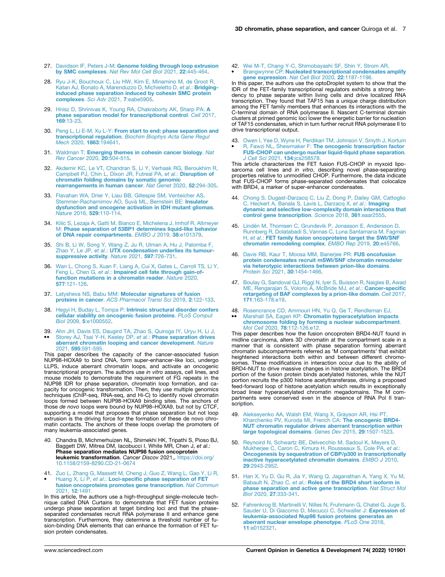- 27. Davidson IF, Peters J-M: **[Genome folding through loop extrusion](http://refhub.elsevier.com/S0959-437X(22)00010-7/sbref26)  by SMC complexes**. *[Nat Rev Mol Cell Biol](http://refhub.elsevier.com/S0959-437X(22)00010-7/sbref26)* 2021, **22**:445-464.
- 28. [Ryu J-K, Bouchoux C, Liu HW, Kim E, Minamino M, de Groot R,](http://refhub.elsevier.com/S0959-437X(22)00010-7/sbref27) [Katan AJ, Bonato A, Marenduzzo D, Michieletto D,](http://refhub.elsevier.com/S0959-437X(22)00010-7/sbref27) *et al*.: **Bridging[induced phase separation induced by cohesin SMC protein](http://refhub.elsevier.com/S0959-437X(22)00010-7/sbref27) [complexes](http://refhub.elsevier.com/S0959-437X(22)00010-7/sbref27)**. *Sci Adv* 2021, **7**:eabe5905.
- 29. [Hnisz D, Shrinivas K, Young RA, Chakraborty AK, Sharp PA:](http://refhub.elsevier.com/S0959-437X(22)00010-7/sbref28) **A [phase separation model for transcriptional control](http://refhub.elsevier.com/S0959-437X(22)00010-7/sbref28)**. *Cell* 2017, **169**[:13-23.](http://refhub.elsevier.com/S0959-437X(22)00010-7/sbref28)
- 30. Peng L, Li E-M, Xu L-Y: **[From start to end: phase separation and](http://refhub.elsevier.com/S0959-437X(22)00010-7/sbref29)  transcriptional regulation**. *[Biochim Biophys Acta Gene Regul](http://refhub.elsevier.com/S0959-437X(22)00010-7/sbref29)  Mech* 2020, **1863**[:194641.](http://refhub.elsevier.com/S0959-437X(22)00010-7/sbref29)
- 31. Waldman T: **[Emerging themes in cohesin cancer biology](http://refhub.elsevier.com/S0959-437X(22)00010-7/sbref30)**. *Nat [Rev Cancer](http://refhub.elsevier.com/S0959-437X(22)00010-7/sbref30)* 2020, **20**:504-515.
- 32. [Akdemir KC, Le VT, Chandran S, Li Y, Verhaak RG, Beroukhim R,](http://refhub.elsevier.com/S0959-437X(22)00010-7/sbref31) [Campbell PJ, Chin L, Dixon JR, Futreal PA,](http://refhub.elsevier.com/S0959-437X(22)00010-7/sbref31) *et al*.: **Disruption of [chromatin folding domains by somatic genomic](http://refhub.elsevier.com/S0959-437X(22)00010-7/sbref31)  [rearrangements in human cancer](http://refhub.elsevier.com/S0959-437X(22)00010-7/sbref31)**. *Nat Genet* 2020, **52**:294-305.
- 33. [Flavahan WA, Drier Y, Liau BB, Gillespie SM, Venteicher AS,](http://refhub.elsevier.com/S0959-437X(22)00010-7/sbref32) [Stemmer-Rachamimov AO, Suvà ML, Bernstein BE:](http://refhub.elsevier.com/S0959-437X(22)00010-7/sbref32) **Insulator [dysfunction and oncogene activation in IDH mutant gliomas](http://refhub.elsevier.com/S0959-437X(22)00010-7/sbref32)**. *Nature* 2016, **529**[:110-114.](http://refhub.elsevier.com/S0959-437X(22)00010-7/sbref32)
- 34. [Kilic S, Lezaja A, Gatti M, Bianco E, Michelena J, Imhof R, Altmeyer](http://refhub.elsevier.com/S0959-437X(22)00010-7/sbref33)  M: **[Phase separation of 53BP1 determines liquid-like behavior](http://refhub.elsevier.com/S0959-437X(22)00010-7/sbref33) [of DNA repair compartments](http://refhub.elsevier.com/S0959-437X(22)00010-7/sbref33)**. *EMBO J* 2019, **38**:e101379.
- 35. [Shi B, Li W, Song Y, Wang Z, Ju R, Ulman A, Hu J, Palomba F,](http://refhub.elsevier.com/S0959-437X(22)00010-7/sbref34) Zhao Y, Le JP, *et al*.: **[UTX condensation underlies its tumour](http://refhub.elsevier.com/S0959-437X(22)00010-7/sbref34)[suppressive activity](http://refhub.elsevier.com/S0959-437X(22)00010-7/sbref34)**. *Nature* 2021, **597**:726-731.
- 36. [Wan L, Chong S, Xuan F, Liang A, Cui X, Gates L, Carroll TS, Li Y,](http://refhub.elsevier.com/S0959-437X(22)00010-7/sbref35)  Feng L, Chen G, *et al*.: **[Impaired cell fate through gain-of](http://refhub.elsevier.com/S0959-437X(22)00010-7/sbref35)[function mutations in a chromatin reader](http://refhub.elsevier.com/S0959-437X(22)00010-7/sbref35)**. *Nature* 2020, **577**[:121-126.](http://refhub.elsevier.com/S0959-437X(22)00010-7/sbref35)
- 37. Latysheva NS, Babu MM: **[Molecular signatures of fusion](http://refhub.elsevier.com/S0959-437X(22)00010-7/sbref36)  proteins in cancer**. *[ACS Pharmacol Transl Sci](http://refhub.elsevier.com/S0959-437X(22)00010-7/sbref36)* 2019, **2**:122-133.
- 38. Hegyi H, Buday L, Tompa P: **[Intrinsic structural disorder confers](http://refhub.elsevier.com/S0959-437X(22)00010-7/sbref37)  [cellular viability on oncogenic fusion proteins](http://refhub.elsevier.com/S0959-437X(22)00010-7/sbref37)**. *PLoS Comput Biol* 2009, **5**[:e1000552.](http://refhub.elsevier.com/S0959-437X(22)00010-7/sbref37)
- 39. •• [Ahn JH, Davis ES, Daugird TA, Zhao S, Quiroga IY, Uryu H, Li J,](http://refhub.elsevier.com/S0959-437X(22)00010-7/sbref38) [Storey AJ, Tsai Y-H, Keeley DP,](http://refhub.elsevier.com/S0959-437X(22)00010-7/sbref38) *et al*.: **Phase separation drives [aberrant chromatin looping and cancer development](http://refhub.elsevier.com/S0959-437X(22)00010-7/sbref38)**. *Nature*  2021, **595**[:591-595.](http://refhub.elsevier.com/S0959-437X(22)00010-7/sbref38)

This paper describes the capacity of the cancer-associated fusion NUP98-HOXA9 to bind DNA, form super-enhancer-like loci, undergo LLPS, induce aberrant chromatin loops, and activate an oncogenic transcriptional program. The authors use *in vitro* assays, cell lines, and mouse models to demonstrate the requirement of FG repeats in the NUP98 IDR for phase separation, chromatin loop formation, and capacity for oncogenic transformation. Then, they use multiple genomics techniques (ChIP-seq, RNA-seq, and Hi-C) to identify novel chromatin loops formed between NUP98-HOXA9 binding sites. The anchors of those *de novo* loops were bound by NUP98–HOXA9, but not by CTCF, supporting a model that proposes that phase separation but not loop extrusion is the driving force for the formation of these de novo chromatin contacts. The anchors of these loops overlap the promoters of many leukemia-associated genes.

- 40. Chandra B, Michmerhuizen NL, Shirnekhi HK, Tripathi S, Pioso BJ, Baggett DW, Mitrea DM, Iacobucci I, White MR, Chen J, *et al*.: **Phase separation mediates NUP98 fusion oncoprotein leukemic transformation**. *Cancer Discov* 2021,, [https://doi.org/](https://doi.org/10.1158/2159-8290.CD-21-0674) [10.1158/2159-8290.CD-21-0674](https://doi.org/10.1158/2159-8290.CD-21-0674)
- 41. [Zuo L, Zhang G, Massett M, Cheng J, Guo Z, Wang L, Gao Y, Li R,](http://refhub.elsevier.com/S0959-437X(22)00010-7/sbref40)  Huang X, Li P, *et al*.: **[Loci-specific phase separation of FET](http://refhub.elsevier.com/S0959-437X(22)00010-7/sbref40)  [fusion oncoproteins promotes gene transcription](http://refhub.elsevier.com/S0959-437X(22)00010-7/sbref40)**. *Nat Commun*  [2021,](http://refhub.elsevier.com/S0959-437X(22)00010-7/sbref40) **12**:1491.

In this article, the authors use a high-throughput single-molecule technique called DNA Curtains to demonstrate that FET fusion proteins undergo phase separation at target binding loci and that the phase-separated condensates recruit RNA polymerase II and enhance gene transcription. Furthermore, they determine a threshold number of fusion-binding DNA elements that can enhance the formation of FET fusion protein condensates.

42. • [Wei M-T, Chang Y-C, Shimobayashi SF, Shin Y, Strom AR,](http://refhub.elsevier.com/S0959-437X(22)00010-7/sbref41) Brangwynne CP: **[Nucleated transcriptional condensates amplify](http://refhub.elsevier.com/S0959-437X(22)00010-7/sbref41)  [gene expression](http://refhub.elsevier.com/S0959-437X(22)00010-7/sbref41)**. *Nat Cell Biol* 2020, **22**:1187-1196.

In this paper, the authors use the optoDroplet system to show that the IDR of the FET-family transcriptional regulators exhibits a strong tendency to phase separate within living cells and drive localized RNA transcription. They found that TAF15 has a unique charge distribution among the FET family members that enhances its interactions with the C-terminal domain of RNA polymerase II. Nascent C-terminal domain clusters at primed genomic loci lower the energetic barrier for nucleation of TAF15 condensates, which in turn further recruit RNA polymerase II to drive transcriptional output.

43. • [Owen I, Yee D, Wyne H, Perdikari TM, Johnson V, Smyth J, Kortum](http://refhub.elsevier.com/S0959-437X(22)00010-7/sbref42)  R, Fawzi NL, Shewmaker F: **[The oncogenic transcription factor](http://refhub.elsevier.com/S0959-437X(22)00010-7/sbref42)  [FUS-CHOP can undergo nuclear liquid-liquid phase separation](http://refhub.elsevier.com/S0959-437X(22)00010-7/sbref42)**. *J Cell Sci* 2021, **134**[:jcs258578.](http://refhub.elsevier.com/S0959-437X(22)00010-7/sbref42)

This article characterizes the FET fusion FUS-CHOP in myxoid liposarcoma cell lines and *in vitro*, describing novel phase-separating properties relative to unmodified CHOP. Furthermore, the data indicate that FUS-CHOP forms phase-separated condensates that colocalize with BRD4, a marker of super-enhancer condensates.

- 44. [Chong S, Dugast-Darzacq C, Liu Z, Dong P, Dailey GM, Cattoglio](http://refhub.elsevier.com/S0959-437X(22)00010-7/sbref43) [C, Heckert A, Banala S, Lavis L, Darzacq X,](http://refhub.elsevier.com/S0959-437X(22)00010-7/sbref43) *et al*.: **Imaging [dynamic and selective low-complexity domain interactions that](http://refhub.elsevier.com/S0959-437X(22)00010-7/sbref43)  [control gene transcription](http://refhub.elsevier.com/S0959-437X(22)00010-7/sbref43)**. *Science* 2018, **361**:eaar2555.
- 45. [Lindén M, Thomsen C, Grundevik P, Jonasson E, Andersson D,](http://refhub.elsevier.com/S0959-437X(22)00010-7/sbref44)  [Runnberg R, Dolatabadi S, Vannas C, Luna Santamar](http://refhub.elsevier.com/S0959-437X(22)00010-7/sbref44)ίa M, Fagman H, *et al*.: **[FET family fusion oncoproteins target the SWI/SNF](http://refhub.elsevier.com/S0959-437X(22)00010-7/sbref44) [chromatin remodeling complex](http://refhub.elsevier.com/S0959-437X(22)00010-7/sbref44)**. *EMBO Rep* 2019, **20**:e45766.
- 46. [Davis RB, Kaur T, Moosa MM, Banerjee PR:](http://refhub.elsevier.com/S0959-437X(22)00010-7/sbref45) **FUS oncofusion [protein condensates recruit mSWI/SNF chromatin remodeler](http://refhub.elsevier.com/S0959-437X(22)00010-7/sbref45)  [via heterotypic interactions between prion-like domains](http://refhub.elsevier.com/S0959-437X(22)00010-7/sbref45)**. *Protein Sci* 2021, **30**[:1454-1466.](http://refhub.elsevier.com/S0959-437X(22)00010-7/sbref45)
- 47. [Boulay G, Sandoval GJ, Riggi N, Iyer S, Buisson R, Naigles B, Awad](http://refhub.elsevier.com/S0959-437X(22)00010-7/sbref46)  [ME, Rengarajan S, Volorio A, McBride MJ,](http://refhub.elsevier.com/S0959-437X(22)00010-7/sbref46) *et al*.: **Cancer-specific [retargeting of BAF complexes by a prion-like domain](http://refhub.elsevier.com/S0959-437X(22)00010-7/sbref46)**. *Cell* 2017, **171**[:163-178.e19.](http://refhub.elsevier.com/S0959-437X(22)00010-7/sbref46)
- 48. [Rosencrance CD, Ammouri HN, Yu Q, Ge T, Rendleman EJ,](http://refhub.elsevier.com/S0959-437X(22)00010-7/sbref47) •• Marshall SA, Eagen KP: **[Chromatin hyperacetylation impacts](http://refhub.elsevier.com/S0959-437X(22)00010-7/sbref47)  [chromosome folding by forming a nuclear subcompartment](http://refhub.elsevier.com/S0959-437X(22)00010-7/sbref47)**. *Mol Cell* 2020, **78**[:112-126.e12.](http://refhub.elsevier.com/S0959-437X(22)00010-7/sbref47)

This paper describes how the fusion oncoprotein BRD4-NUT found in midline carcinoma, alters 3D chromatin at the compartment scale in a manner that is consistent with phase separation forming aberrant chromatin subcompartments referred as 'M compartments' that exhibit heightened interactions both within and between different chromosomes. These modifications in interaction occur due to the ability of BRD4-NUT to drive massive changes in histone acetylation. The BRD4 portion of the fusion protein binds acetylated histones, while the NUT portion recruits the p300 histone acetyltransferase, driving a proposed feed-forward loop of histone acetylation which results in exceptionally broad linear hyperacetylated chromatin megadomains. The M compartments were conserved even in the absence of RNA Pol II transcription.

- 49. [Alekseyenko AA, Walsh EM, Wang X, Grayson AR, Hsi PT,](http://refhub.elsevier.com/S0959-437X(22)00010-7/sbref48)  [Kharchenko PV, Kuroda MI, French CA:](http://refhub.elsevier.com/S0959-437X(22)00010-7/sbref48) **The oncogenic BRD4- [NUT chromatin regulator drives aberrant transcription within](http://refhub.elsevier.com/S0959-437X(22)00010-7/sbref48)  [large topological domains](http://refhub.elsevier.com/S0959-437X(22)00010-7/sbref48)**. *Genes Dev* 2015, **29**:1507-1523.
- 50. [Reynoird N, Schwartz BE, Delvecchio M, Sadoul K, Meyers D,](http://refhub.elsevier.com/S0959-437X(22)00010-7/sbref49) [Mukherjee C, Caron C, Kimura H, Rousseaux S, Cole PA,](http://refhub.elsevier.com/S0959-437X(22)00010-7/sbref49) *et al*.: **[Oncogenesis by sequestration of CBP/p300 in transcriptionally](http://refhub.elsevier.com/S0959-437X(22)00010-7/sbref49)  [inactive hyperacetylated chromatin domains](http://refhub.elsevier.com/S0959-437X(22)00010-7/sbref49)**. *EMBO J* 2010, **29**[:2943-2952.](http://refhub.elsevier.com/S0959-437X(22)00010-7/sbref49)
- 51. [Han X, Yu D, Gu R, Jia Y, Wang Q, Jaganathan A, Yang X, Yu M,](http://refhub.elsevier.com/S0959-437X(22)00010-7/sbref50)  Babault N, Zhao C, *et al*.: **[Roles of the BRD4 short isoform in](http://refhub.elsevier.com/S0959-437X(22)00010-7/sbref50) [phase separation and active gene transcription](http://refhub.elsevier.com/S0959-437X(22)00010-7/sbref50)**. *Nat Struct Mol Biol* 2020, **27**[:333-341.](http://refhub.elsevier.com/S0959-437X(22)00010-7/sbref50)
- 52. [Fahrenkrog B, Martinelli V, Nilles N, Fruhmann G, Chatel G, Juge S,](http://refhub.elsevier.com/S0959-437X(22)00010-7/sbref51)  [Sauder U, Di Giacomo D, Mecucci C, Schwaller J:](http://refhub.elsevier.com/S0959-437X(22)00010-7/sbref51) **Expression of [leukemia-associated Nup98 fusion proteins generates an](http://refhub.elsevier.com/S0959-437X(22)00010-7/sbref51)  [aberrant nuclear envelope phenotype](http://refhub.elsevier.com/S0959-437X(22)00010-7/sbref51)**. *PLoS One* 2016, **11**[:e0152321.](http://refhub.elsevier.com/S0959-437X(22)00010-7/sbref51)